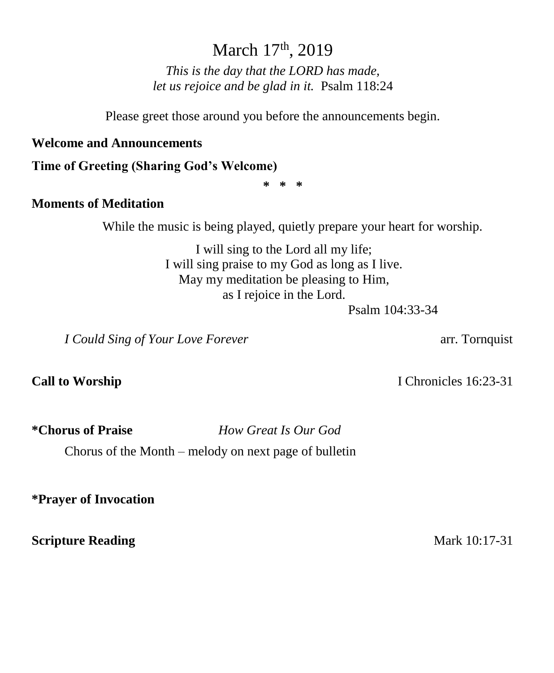# March 17<sup>th</sup>, 2019

*This is the day that the LORD has made, let us rejoice and be glad in it.* Psalm 118:24

Please greet those around you before the announcements begin.

**Welcome and Announcements**

**Time of Greeting (Sharing God's Welcome)**

**\* \* \***

#### **Moments of Meditation**

While the music is being played, quietly prepare your heart for worship.

I will sing to the Lord all my life; I will sing praise to my God as long as I live. May my meditation be pleasing to Him, as I rejoice in the Lord.

Psalm 104:33-34

*I* Could Sing of Your Love Forever **arr.** Tornquist

**Call to Worship I** Chronicles 16:23-31

**\*Chorus of Praise** *How Great Is Our God* 

Chorus of the Month – melody on next page of bulletin

**\*Prayer of Invocation** 

**Scripture Reading** Mark 10:17-31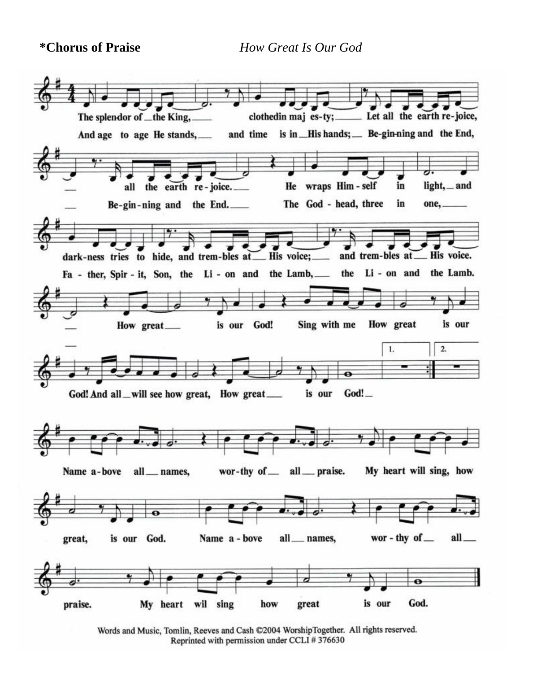**\*Chorus of Praise** *How Great Is Our God* 



Words and Music, Tomlin, Reeves and Cash ©2004 WorshipTogether. All rights reserved. Reprinted with permission under CCLI #376630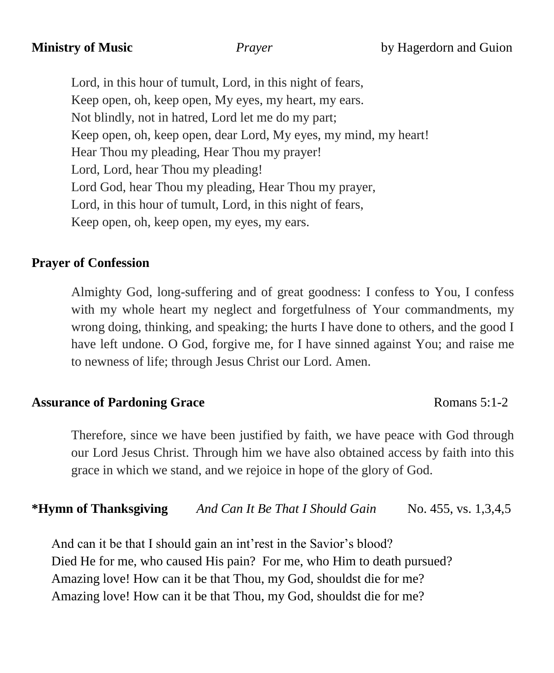Lord, in this hour of tumult, Lord, in this night of fears, Keep open, oh, keep open, My eyes, my heart, my ears. Not blindly, not in hatred, Lord let me do my part; Keep open, oh, keep open, dear Lord, My eyes, my mind, my heart! Hear Thou my pleading, Hear Thou my prayer! Lord, Lord, hear Thou my pleading! Lord God, hear Thou my pleading, Hear Thou my prayer, Lord, in this hour of tumult, Lord, in this night of fears, Keep open, oh, keep open, my eyes, my ears.

#### **Prayer of Confession**

Almighty God, long-suffering and of great goodness: I confess to You, I confess with my whole heart my neglect and forgetfulness of Your commandments, my wrong doing, thinking, and speaking; the hurts I have done to others, and the good I have left undone. O God, forgive me, for I have sinned against You; and raise me to newness of life; through Jesus Christ our Lord. Amen.

#### **Assurance of Pardoning Grace** Romans 5:1-2

Therefore, since we have been justified by faith, we have peace with God through our Lord Jesus Christ. Through him we have also obtained access by faith into this grace in which we stand, and we rejoice in hope of the glory of God.

**\*Hymn of Thanksgiving** *And Can It Be That I Should Gain* No. 455, vs. 1,3,4,5

And can it be that I should gain an int'rest in the Savior's blood? Died He for me, who caused His pain? For me, who Him to death pursued? Amazing love! How can it be that Thou, my God, shouldst die for me? Amazing love! How can it be that Thou, my God, shouldst die for me?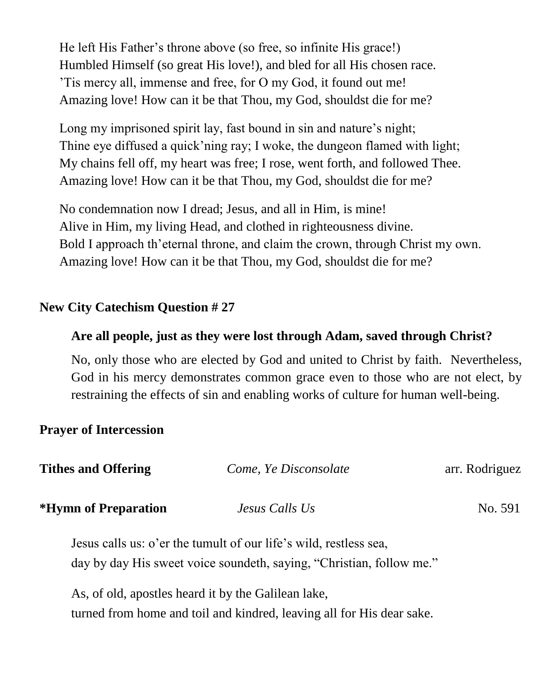He left His Father's throne above (so free, so infinite His grace!) Humbled Himself (so great His love!), and bled for all His chosen race. 'Tis mercy all, immense and free, for O my God, it found out me! Amazing love! How can it be that Thou, my God, shouldst die for me?

Long my imprisoned spirit lay, fast bound in sin and nature's night; Thine eye diffused a quick'ning ray; I woke, the dungeon flamed with light; My chains fell off, my heart was free; I rose, went forth, and followed Thee. Amazing love! How can it be that Thou, my God, shouldst die for me?

No condemnation now I dread; Jesus, and all in Him, is mine! Alive in Him, my living Head, and clothed in righteousness divine. Bold I approach th'eternal throne, and claim the crown, through Christ my own. Amazing love! How can it be that Thou, my God, shouldst die for me?

### **New City Catechism Question # 27**

#### **Are all people, just as they were lost through Adam, saved through Christ?**

No, only those who are elected by God and united to Christ by faith. Nevertheless, God in his mercy demonstrates common grace even to those who are not elect, by restraining the effects of sin and enabling works of culture for human well-being.

#### **Prayer of Intercession**

| <b>Tithes and Offering</b> | Come, Ye Disconsolate | arr. Rodriguez |
|----------------------------|-----------------------|----------------|
| *Hymn of Preparation       | Jesus Calls Us        | No. 591        |

Jesus calls us: o'er the tumult of our life's wild, restless sea, day by day His sweet voice soundeth, saying, "Christian, follow me."

As, of old, apostles heard it by the Galilean lake, turned from home and toil and kindred, leaving all for His dear sake.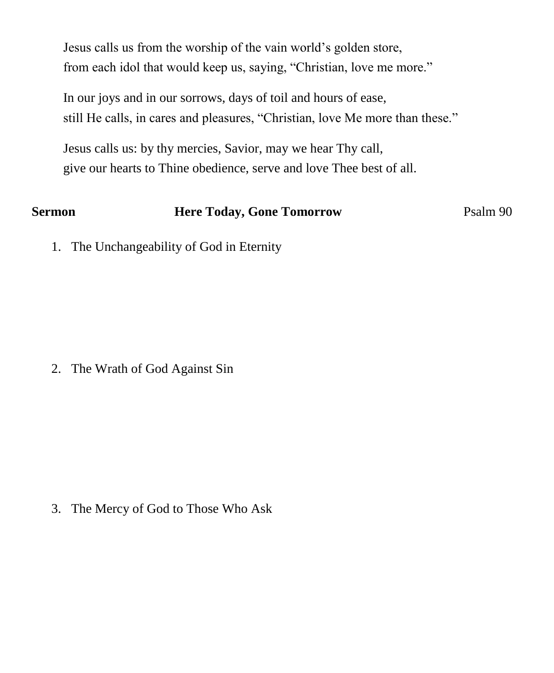Jesus calls us from the worship of the vain world's golden store, from each idol that would keep us, saying, "Christian, love me more."

In our joys and in our sorrows, days of toil and hours of ease, still He calls, in cares and pleasures, "Christian, love Me more than these."

Jesus calls us: by thy mercies, Savior, may we hear Thy call, give our hearts to Thine obedience, serve and love Thee best of all.

#### **Sermon Here Today, Gone Tomorrow Psalm 90**

1. The Unchangeability of God in Eternity

2. The Wrath of God Against Sin

3. The Mercy of God to Those Who Ask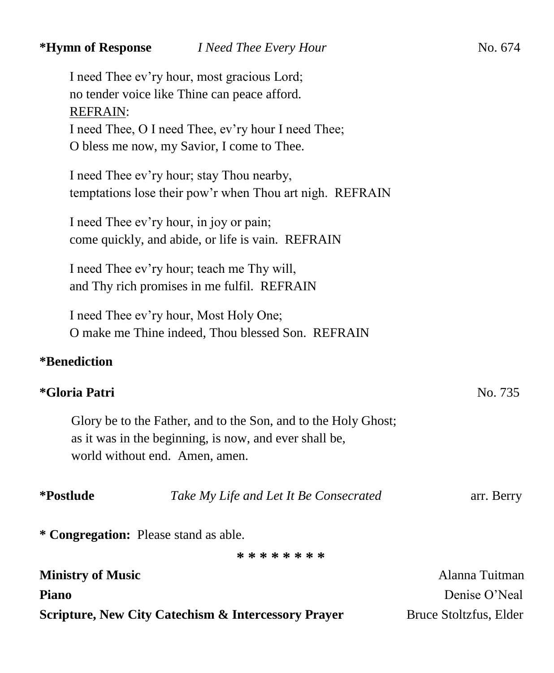|                                                                                                                                                            | <b>*Hymn of Response</b> <i>I Need Thee Every Hour</i>                                                                                             | No. 674        |
|------------------------------------------------------------------------------------------------------------------------------------------------------------|----------------------------------------------------------------------------------------------------------------------------------------------------|----------------|
| <b>REFRAIN:</b>                                                                                                                                            | I need Thee ev'ry hour, most gracious Lord;<br>no tender voice like Thine can peace afford.<br>I need Thee, O I need Thee, ev'ry hour I need Thee; |                |
| O bless me now, my Savior, I come to Thee.                                                                                                                 |                                                                                                                                                    |                |
|                                                                                                                                                            | I need Thee ev'ry hour; stay Thou nearby,<br>temptations lose their pow'r when Thou art nigh. REFRAIN                                              |                |
| I need Thee ev'ry hour, in joy or pain;<br>come quickly, and abide, or life is vain. REFRAIN                                                               |                                                                                                                                                    |                |
| I need Thee ev'ry hour; teach me Thy will,<br>and Thy rich promises in me fulfil. REFRAIN                                                                  |                                                                                                                                                    |                |
| I need Thee ev'ry hour, Most Holy One;<br>O make me Thine indeed, Thou blessed Son. REFRAIN                                                                |                                                                                                                                                    |                |
| <i><b>*Benediction</b></i>                                                                                                                                 |                                                                                                                                                    |                |
| *Gloria Patri                                                                                                                                              |                                                                                                                                                    | No. 735        |
| Glory be to the Father, and to the Son, and to the Holy Ghost;<br>as it was in the beginning, is now, and ever shall be,<br>world without end. Amen, amen. |                                                                                                                                                    |                |
| *Postlude                                                                                                                                                  | Take My Life and Let It Be Consecrated                                                                                                             | arr. Berry     |
| * Congregation: Please stand as able.                                                                                                                      |                                                                                                                                                    |                |
|                                                                                                                                                            | * * * * * * * *                                                                                                                                    |                |
| <b>Ministry of Music</b>                                                                                                                                   |                                                                                                                                                    | Alanna Tuitman |
| Piano                                                                                                                                                      |                                                                                                                                                    | Denise O'Neal  |
| <b>Scripture, New City Catechism &amp; Intercessory Prayer</b>                                                                                             | Bruce Stoltzfus, Elder                                                                                                                             |                |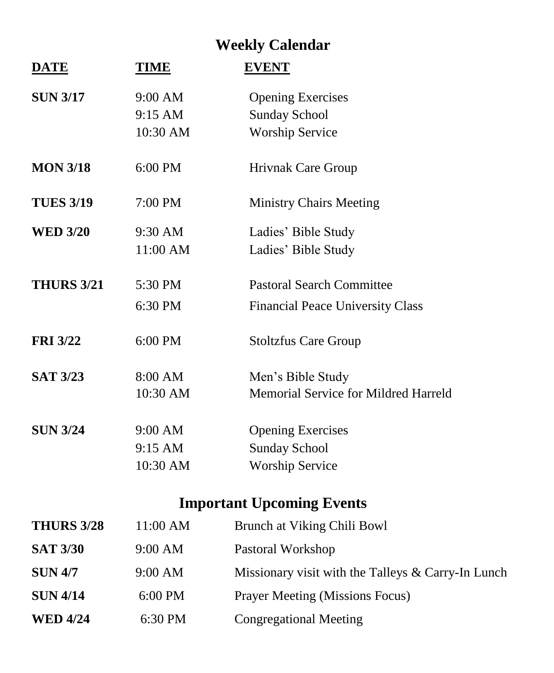# **Weekly Calendar**

| <b>DATE</b>       | <b>TIME</b> | <b>EVENT</b>                                       |
|-------------------|-------------|----------------------------------------------------|
| <b>SUN 3/17</b>   | 9:00 AM     | <b>Opening Exercises</b>                           |
|                   | 9:15 AM     | <b>Sunday School</b>                               |
|                   | 10:30 AM    | Worship Service                                    |
| <b>MON 3/18</b>   | 6:00 PM     | <b>Hrivnak Care Group</b>                          |
| <b>TUES 3/19</b>  | 7:00 PM     | <b>Ministry Chairs Meeting</b>                     |
| <b>WED 3/20</b>   | 9:30 AM     | Ladies' Bible Study                                |
|                   | 11:00 AM    | Ladies' Bible Study                                |
| <b>THURS 3/21</b> | 5:30 PM     | <b>Pastoral Search Committee</b>                   |
|                   | 6:30 PM     | <b>Financial Peace University Class</b>            |
| <b>FRI 3/22</b>   | 6:00 PM     | <b>Stoltzfus Care Group</b>                        |
| <b>SAT 3/23</b>   | 8:00 AM     | Men's Bible Study                                  |
|                   | 10:30 AM    | <b>Memorial Service for Mildred Harreld</b>        |
| <b>SUN 3/24</b>   | 9:00 AM     | <b>Opening Exercises</b>                           |
|                   | 9:15 AM     | <b>Sunday School</b>                               |
|                   | 10:30 AM    | <b>Worship Service</b>                             |
|                   |             | <b>Important Upcoming Events</b>                   |
| <b>THURS 3/28</b> | 11:00 AM    | Brunch at Viking Chili Bowl                        |
| <b>SAT 3/30</b>   | 9:00 AM     | Pastoral Workshop                                  |
| <b>SUN 4/7</b>    | 9:00 AM     | Missionary visit with the Talleys & Carry-In Lunch |
| <b>SUN 4/14</b>   | 6:00 PM     | <b>Prayer Meeting (Missions Focus)</b>             |
| <b>WED 4/24</b>   | 6:30 PM     | <b>Congregational Meeting</b>                      |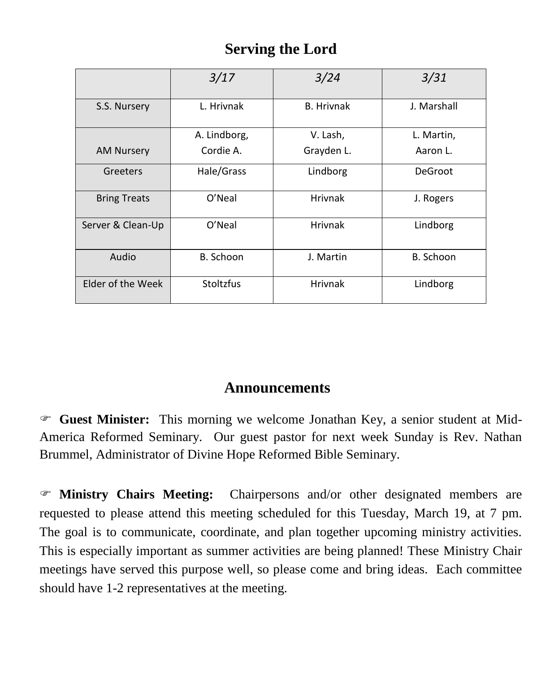## **Serving the Lord**

|                     | 3/17             | 3/24              | 3/31        |
|---------------------|------------------|-------------------|-------------|
| S.S. Nursery        | L. Hrivnak       | <b>B.</b> Hrivnak | J. Marshall |
|                     | A. Lindborg,     | V. Lash,          | L. Martin,  |
| <b>AM Nursery</b>   | Cordie A.        | Grayden L.        | Aaron L.    |
| Greeters            | Hale/Grass       | Lindborg          | DeGroot     |
| <b>Bring Treats</b> | O'Neal           | <b>Hrivnak</b>    | J. Rogers   |
| Server & Clean-Up   | O'Neal           | <b>Hrivnak</b>    | Lindborg    |
| Audio               | B. Schoon        | J. Martin         | B. Schoon   |
| Elder of the Week   | <b>Stoltzfus</b> | <b>Hrivnak</b>    | Lindborg    |

### **Announcements**

 **Guest Minister:** This morning we welcome Jonathan Key, a senior student at Mid-America Reformed Seminary. Our guest pastor for next week Sunday is Rev. Nathan Brummel, Administrator of Divine Hope Reformed Bible Seminary.

 **Ministry Chairs Meeting:** Chairpersons and/or other designated members are requested to please attend this meeting scheduled for this Tuesday, March 19, at 7 pm. The goal is to communicate, coordinate, and plan together upcoming ministry activities. This is especially important as summer activities are being planned! These Ministry Chair meetings have served this purpose well, so please come and bring ideas. Each committee should have 1-2 representatives at the meeting.